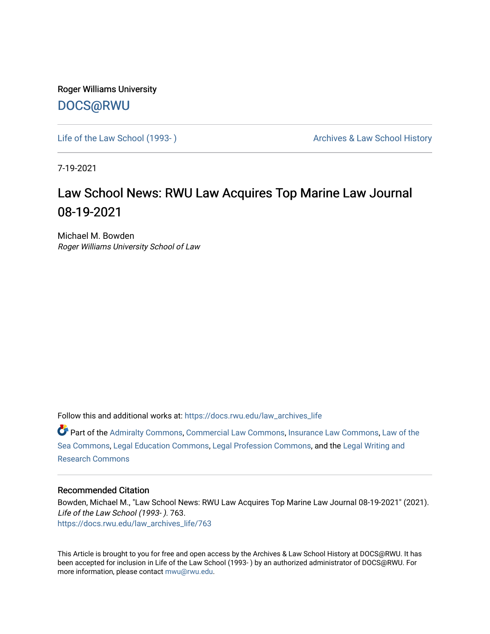Roger Williams University [DOCS@RWU](https://docs.rwu.edu/)

Life of the Law School (1993-) Case Archives & Law School History

7-19-2021

### Law School News: RWU Law Acquires Top Marine Law Journal 08-19-2021

Michael M. Bowden Roger Williams University School of Law

Follow this and additional works at: [https://docs.rwu.edu/law\\_archives\\_life](https://docs.rwu.edu/law_archives_life?utm_source=docs.rwu.edu%2Flaw_archives_life%2F763&utm_medium=PDF&utm_campaign=PDFCoverPages)

Part of the [Admiralty Commons](http://network.bepress.com/hgg/discipline/580?utm_source=docs.rwu.edu%2Flaw_archives_life%2F763&utm_medium=PDF&utm_campaign=PDFCoverPages), [Commercial Law Commons,](http://network.bepress.com/hgg/discipline/586?utm_source=docs.rwu.edu%2Flaw_archives_life%2F763&utm_medium=PDF&utm_campaign=PDFCoverPages) [Insurance Law Commons](http://network.bepress.com/hgg/discipline/607?utm_source=docs.rwu.edu%2Flaw_archives_life%2F763&utm_medium=PDF&utm_campaign=PDFCoverPages), [Law of the](http://network.bepress.com/hgg/discipline/855?utm_source=docs.rwu.edu%2Flaw_archives_life%2F763&utm_medium=PDF&utm_campaign=PDFCoverPages) [Sea Commons](http://network.bepress.com/hgg/discipline/855?utm_source=docs.rwu.edu%2Flaw_archives_life%2F763&utm_medium=PDF&utm_campaign=PDFCoverPages), [Legal Education Commons](http://network.bepress.com/hgg/discipline/857?utm_source=docs.rwu.edu%2Flaw_archives_life%2F763&utm_medium=PDF&utm_campaign=PDFCoverPages), [Legal Profession Commons,](http://network.bepress.com/hgg/discipline/1075?utm_source=docs.rwu.edu%2Flaw_archives_life%2F763&utm_medium=PDF&utm_campaign=PDFCoverPages) and the [Legal Writing and](http://network.bepress.com/hgg/discipline/614?utm_source=docs.rwu.edu%2Flaw_archives_life%2F763&utm_medium=PDF&utm_campaign=PDFCoverPages)  [Research Commons](http://network.bepress.com/hgg/discipline/614?utm_source=docs.rwu.edu%2Flaw_archives_life%2F763&utm_medium=PDF&utm_campaign=PDFCoverPages) 

#### Recommended Citation

Bowden, Michael M., "Law School News: RWU Law Acquires Top Marine Law Journal 08-19-2021" (2021). Life of the Law School (1993- ). 763. [https://docs.rwu.edu/law\\_archives\\_life/763](https://docs.rwu.edu/law_archives_life/763?utm_source=docs.rwu.edu%2Flaw_archives_life%2F763&utm_medium=PDF&utm_campaign=PDFCoverPages)

This Article is brought to you for free and open access by the Archives & Law School History at DOCS@RWU. It has been accepted for inclusion in Life of the Law School (1993- ) by an authorized administrator of DOCS@RWU. For more information, please contact [mwu@rwu.edu](mailto:mwu@rwu.edu).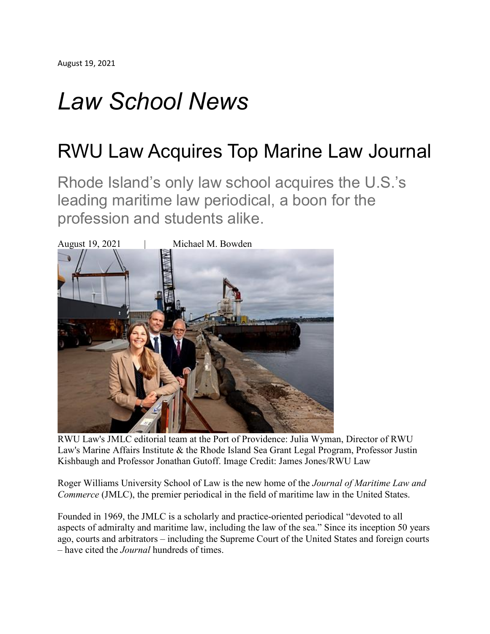# *Law School News*

## RWU Law Acquires Top Marine Law Journal

Rhode Island's only law school acquires the U.S.'s leading maritime law periodical, a boon for the profession and students alike.



RWU Law's JMLC editorial team at the Port of Providence: Julia Wyman, Director of RWU Law's Marine Affairs Institute & the Rhode Island Sea Grant Legal Program, Professor Justin Kishbaugh and Professor Jonathan Gutoff. Image Credit: James Jones/RWU Law

Roger Williams University School of Law is the new home of the *Journal of Maritime Law and Commerce* (JMLC), the premier periodical in the field of maritime law in the United States.

Founded in 1969, the JMLC is a scholarly and practice-oriented periodical "devoted to all aspects of admiralty and maritime law, including the law of the sea." Since its inception 50 years ago, courts and arbitrators – including the Supreme Court of the United States and foreign courts – have cited the *Journal* hundreds of times.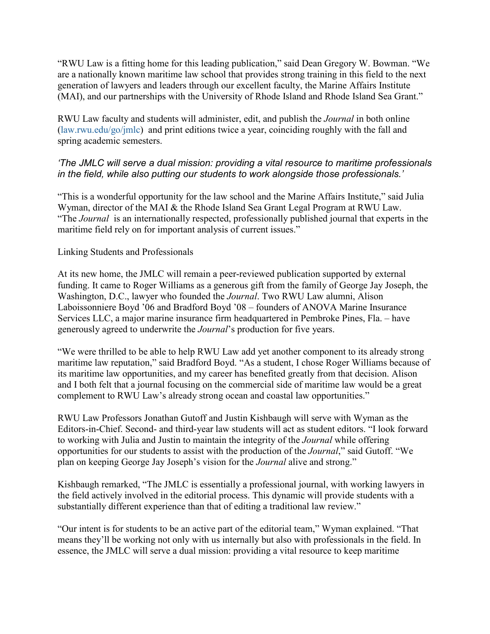"RWU Law is a fitting home for this leading publication," said Dean Gregory W. Bowman. "We are a nationally known maritime law school that provides strong training in this field to the next generation of lawyers and leaders through our excellent faculty, the Marine Affairs Institute (MAI), and our partnerships with the University of Rhode Island and Rhode Island Sea Grant."

RWU Law faculty and students will administer, edit, and publish the *Journal* in both online [\(law.rwu.edu/go/jmlc\)](https://law.rwu.edu/academics/marine-affairs-institute/journal-maritime-law-and-commerce) and print editions twice a year, coinciding roughly with the fall and spring academic semesters.

### *'The JMLC will serve a dual mission: providing a vital resource to maritime professionals in the field, while also putting our students to work alongside those professionals.'*

"This is a wonderful opportunity for the law school and the Marine Affairs Institute," said Julia Wyman, director of the MAI & the Rhode Island Sea Grant Legal Program at RWU Law. "The *Journal* is an internationally respected, professionally published journal that experts in the maritime field rely on for important analysis of current issues."

### Linking Students and Professionals

At its new home, the JMLC will remain a peer-reviewed publication supported by external funding. It came to Roger Williams as a generous gift from the family of George Jay Joseph, the Washington, D.C., lawyer who founded the *Journal*. Two RWU Law alumni, Alison Laboissonniere Boyd '06 and Bradford Boyd '08 – founders of ANOVA Marine Insurance Services LLC, a major marine insurance firm headquartered in Pembroke Pines, Fla. – have generously agreed to underwrite the *Journal*'s production for five years.

"We were thrilled to be able to help RWU Law add yet another component to its already strong maritime law reputation," said Bradford Boyd. "As a student, I chose Roger Williams because of its maritime law opportunities, and my career has benefited greatly from that decision. Alison and I both felt that a journal focusing on the commercial side of maritime law would be a great complement to RWU Law's already strong ocean and coastal law opportunities."

RWU Law Professors Jonathan Gutoff and Justin Kishbaugh will serve with Wyman as the Editors-in-Chief. Second- and third-year law students will act as student editors. "I look forward to working with Julia and Justin to maintain the integrity of the *Journal* while offering opportunities for our students to assist with the production of the *Journal*," said Gutoff. "We plan on keeping George Jay Joseph's vision for the *Journal* alive and strong."

Kishbaugh remarked, "The JMLC is essentially a professional journal, with working lawyers in the field actively involved in the editorial process. This dynamic will provide students with a substantially different experience than that of editing a traditional law review."

"Our intent is for students to be an active part of the editorial team," Wyman explained. "That means they'll be working not only with us internally but also with professionals in the field. In essence, the JMLC will serve a dual mission: providing a vital resource to keep maritime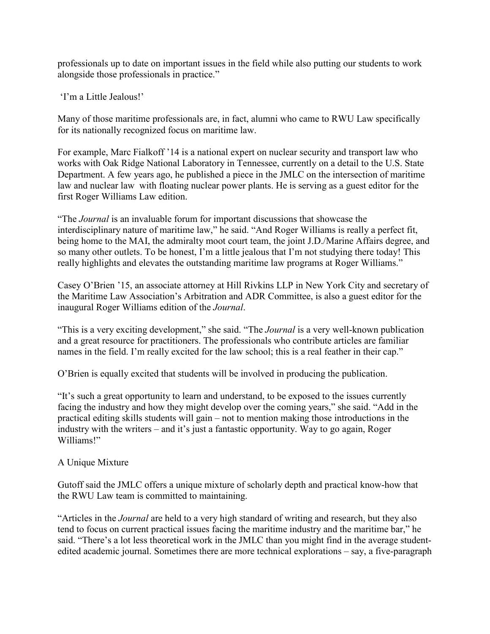professionals up to date on important issues in the field while also putting our students to work alongside those professionals in practice."

'I'm a Little Jealous!'

Many of those maritime professionals are, in fact, alumni who came to RWU Law specifically for its nationally recognized focus on maritime law.

For example, Marc Fialkoff '14 is a national expert on nuclear security and transport law who works with Oak Ridge National Laboratory in Tennessee, currently on a detail to the U.S. State Department. A few years ago, he published a piece in the JMLC on the intersection of maritime law and nuclear law with floating nuclear power plants. He is serving as a guest editor for the first Roger Williams Law edition.

"The *Journal* is an invaluable forum for important discussions that showcase the interdisciplinary nature of maritime law," he said. "And Roger Williams is really a perfect fit, being home to the MAI, the admiralty moot court team, the joint J.D./Marine Affairs degree, and so many other outlets. To be honest, I'm a little jealous that I'm not studying there today! This really highlights and elevates the outstanding maritime law programs at Roger Williams."

Casey O'Brien '15, an associate attorney at Hill Rivkins LLP in New York City and secretary of the Maritime Law Association's Arbitration and ADR Committee, is also a guest editor for the inaugural Roger Williams edition of the *Journal*.

"This is a very exciting development," she said. "The *Journal* is a very well-known publication and a great resource for practitioners. The professionals who contribute articles are familiar names in the field. I'm really excited for the law school; this is a real feather in their cap."

O'Brien is equally excited that students will be involved in producing the publication.

"It's such a great opportunity to learn and understand, to be exposed to the issues currently facing the industry and how they might develop over the coming years," she said. "Add in the practical editing skills students will gain – not to mention making those introductions in the industry with the writers – and it's just a fantastic opportunity. Way to go again, Roger Williams!"

### A Unique Mixture

Gutoff said the JMLC offers a unique mixture of scholarly depth and practical know-how that the RWU Law team is committed to maintaining.

"Articles in the *Journal* are held to a very high standard of writing and research, but they also tend to focus on current practical issues facing the maritime industry and the maritime bar," he said. "There's a lot less theoretical work in the JMLC than you might find in the average studentedited academic journal. Sometimes there are more technical explorations – say, a five-paragraph